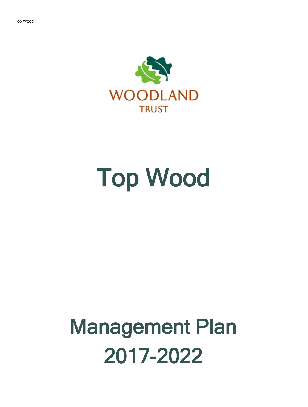

# Top Wood

## Management Plan 2017-2022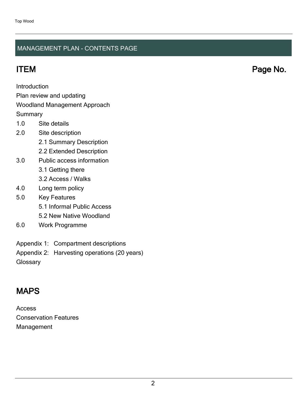#### MANAGEMENT PLAN - CONTENTS PAGE

ITEM Page No.

Introduction

Plan review and updating

#### Woodland Management Approach

**Summary** 

- 1.0 Site details
- 2.0 Site description
	- 2.1 Summary Description
	- 2.2 Extended Description
- 3.0 Public access information
	- 3.1 Getting there
	- 3.2 Access / Walks
- 4.0 Long term policy
- 5.0 Key Features
	- 5.1 Informal Public Access
	- 5.2 New Native Woodland
- 6.0 Work Programme
- Appendix 1: Compartment descriptions
- Appendix 2: Harvesting operations (20 years)

**Glossary** 

## MAPS

Access Conservation Features Management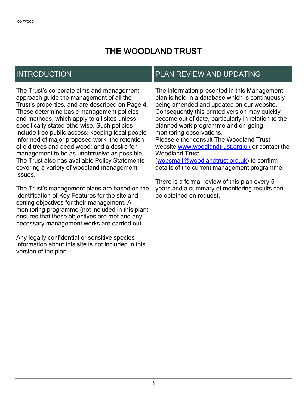## THE WOODLAND TRUST

## INTRODUCTION

The Trust's corporate aims and management approach guide the management of all the Trust's properties, and are described on Page 4. These determine basic management policies and methods, which apply to all sites unless specifically stated otherwise. Such policies include free public access; keeping local people informed of major proposed work; the retention of old trees and dead wood; and a desire for management to be as unobtrusive as possible. The Trust also has available Policy Statements covering a variety of woodland management issues.

The Trust's management plans are based on the identification of Key Features for the site and setting objectives for their management. A monitoring programme (not included in this plan) ensures that these objectives are met and any necessary management works are carried out.

Any legally confidential or sensitive species information about this site is not included in this version of the plan.

## PLAN REVIEW AND UPDATING

The information presented in this Management plan is held in a database which is continuously being amended and updated on our website. Consequently this printed version may quickly become out of date, particularly in relation to the planned work programme and on-going monitoring observations. Please either consult The Woodland Trust website [www.woodlandtrust.org.uk](http://www.woodlandtrust.org.uk/) or contact the Woodland Trust [\(wopsmail@woodlandtrust.org.uk](mailto:wopsmail@woodlandtrust.org.uk)) to confirm

details of the current management programme.

There is a formal review of this plan every 5 years and a summary of monitoring results can be obtained on request.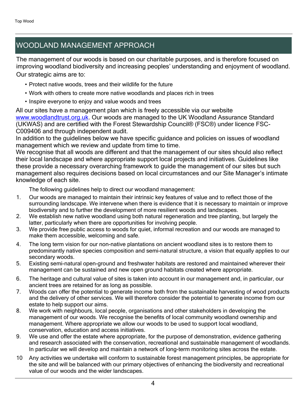## WOODLAND MANAGEMENT APPROACH

The management of our woods is based on our charitable purposes, and is therefore focused on improving woodland biodiversity and increasing peoples' understanding and enjoyment of woodland. Our strategic aims are to:

- Protect native woods, trees and their wildlife for the future
- Work with others to create more native woodlands and places rich in trees
- Inspire everyone to enjoy and value woods and trees

All our sites have a management plan which is freely accessible via our website [www.woodlandtrust.org.uk.](http://www.woodlandtrust.org.uk/) Our woods are managed to the UK Woodland Assurance Standard (UKWAS) and are certified with the Forest Stewardship Council® (FSC®) under licence FSC-C009406 and through independent audit.

In addition to the guidelines below we have specific guidance and policies on issues of woodland management which we review and update from time to time.

We recognise that all woods are different and that the management of our sites should also reflect their local landscape and where appropriate support local projects and initiatives. Guidelines like these provide a necessary overarching framework to guide the management of our sites but such management also requires decisions based on local circumstances and our Site Manager's intimate knowledge of each site.

The following guidelines help to direct our woodland management:

- 1. Our woods are managed to maintain their intrinsic key features of value and to reflect those of the surrounding landscape. We intervene when there is evidence that it is necessary to maintain or improve biodiversity and to further the development of more resilient woods and landscapes.
- 2. We establish new native woodland using both natural regeneration and tree planting, but largely the latter, particularly when there are opportunities for involving people.
- 3. We provide free public access to woods for quiet, informal recreation and our woods are managed to make them accessible, welcoming and safe.
- 4. The long term vision for our non-native plantations on ancient woodland sites is to restore them to predominantly native species composition and semi-natural structure, a vision that equally applies to our secondary woods.
- 5. Existing semi-natural open-ground and freshwater habitats are restored and maintained wherever their management can be sustained and new open ground habitats created where appropriate.
- 6. The heritage and cultural value of sites is taken into account in our management and, in particular, our ancient trees are retained for as long as possible.
- 7. Woods can offer the potential to generate income both from the sustainable harvesting of wood products and the delivery of other services. We will therefore consider the potential to generate income from our estate to help support our aims.
- 8. We work with neighbours, local people, organisations and other stakeholders in developing the management of our woods. We recognise the benefits of local community woodland ownership and management. Where appropriate we allow our woods to be used to support local woodland, conservation, education and access initiatives.
- 9. We use and offer the estate where appropriate, for the purpose of demonstration, evidence gathering and research associated with the conservation, recreational and sustainable management of woodlands. In particular we will develop and maintain a network of long-term monitoring sites across the estate.
- 10 Any activities we undertake will conform to sustainable forest management principles, be appropriate for the site and will be balanced with our primary objectives of enhancing the biodiversity and recreational value of our woods and the wider landscapes.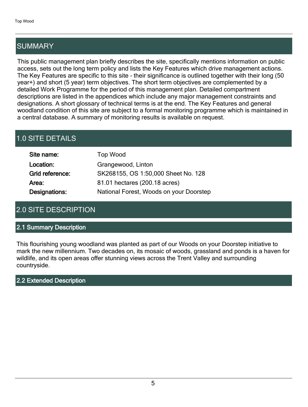## SUMMARY

This public management plan briefly describes the site, specifically mentions information on public access, sets out the long term policy and lists the Key Features which drive management actions. The Key Features are specific to this site - their significance is outlined together with their long (50 year+) and short (5 year) term objectives. The short term objectives are complemented by a detailed Work Programme for the period of this management plan. Detailed compartment descriptions are listed in the appendices which include any major management constraints and designations. A short glossary of technical terms is at the end. The Key Features and general woodland condition of this site are subject to a formal monitoring programme which is maintained in a central database. A summary of monitoring results is available on request.

## 1.0 SITE DETAILS

| Site name:      | Top Wood                                |
|-----------------|-----------------------------------------|
| Location:       | Grangewood, Linton                      |
| Grid reference: | SK268155, OS 1:50,000 Sheet No. 128     |
| Area:           | 81.01 hectares (200.18 acres)           |
| Designations:   | National Forest, Woods on your Doorstep |

## 2.0 SITE DESCRIPTION

#### 2.1 Summary Description

This flourishing young woodland was planted as part of our Woods on your Doorstep initiative to mark the new millennium. Two decades on, its mosaic of woods, grassland and ponds is a haven for wildlife, and its open areas offer stunning views across the Trent Valley and surrounding countryside.

#### 2.2 Extended Description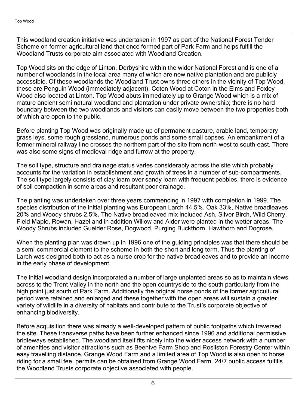This woodland creation initiative was undertaken in 1997 as part of the National Forest Tender Scheme on former agricultural land that once formed part of Park Farm and helps fulfill the Woodland Trusts corporate aim associated with Woodland Creation.

Top Wood sits on the edge of Linton, Derbyshire within the wider National Forest and is one of a number of woodlands in the local area many of which are new native plantation and are publicly accessible. Of these woodlands the Woodland Trust owns three others in the vicinity of Top Wood, these are Penguin Wood (immediately adjacent), Coton Wood at Coton in the Elms and Foxley Wood also located at Linton. Top Wood abuts immediately up to Grange Wood which is a mix of mature ancient semi natural woodland and plantation under private ownership; there is no hard boundary between the two woodlands and visitors can easily move between the two properties both of which are open to the public.

Before planting Top Wood was originally made up of permanent pasture, arable land, temporary grass leys, some rough grassland, numerous ponds and some small copses. An embankment of a former mineral railway line crosses the northern part of the site from north-west to south-east. There was also some signs of medieval ridge and furrow at the property.

The soil type, structure and drainage status varies considerably across the site which probably accounts for the variation in establishment and growth of trees in a number of sub-compartments. The soil type largely consists of clay loam over sandy loam with frequent pebbles, there is evidence of soil compaction in some areas and resultant poor drainage.

The planting was undertaken over three years commencing in 1997 with completion in 1999. The species distribution of the initial planting was European Larch 44.5%, Oak 33%, Native broadleaves 20% and Woody shrubs 2.5%. The Native broadleaved mix included Ash, Silver Birch, Wild Cherry, Field Maple, Rowan, Hazel and in addition Willow and Alder were planted in the wetter areas. The Woody Shrubs included Guelder Rose, Dogwood, Purging Buckthorn, Hawthorn and Dogrose.

When the planting plan was drawn up in 1996 one of the guiding principles was that there should be a semi-commercial element to the scheme in both the short and long term. Thus the planting of Larch was designed both to act as a nurse crop for the native broadleaves and to provide an income in the early phase of development.

The initial woodland design incorporated a number of large unplanted areas so as to maintain views across to the Trent Valley in the north and the open countryside to the south particularly from the high point just south of Park Farm. Additionally the original horse ponds of the former agricultural period were retained and enlarged and these together with the open areas will sustain a greater variety of wildlife in a diversity of habitats and contribute to the Trust's corporate objective of enhancing biodiversity.

Before acquisition there was already a well-developed pattern of public footpaths which traversed the site. These transverse paths have been further enhanced since 1996 and additional permissive bridleways established. The woodland itself fits nicely into the wider access network with a number of amenities and visitor attractions such as Beehive Farm Shop and Rosliston Forestry Center within easy travelling distance. Grange Wood Farm and a limited area of Top Wood is also open to horse riding for a small fee, permits can be obtained from Grange Wood Farm. 24/7 public access fulfills the Woodland Trusts corporate objective associated with people.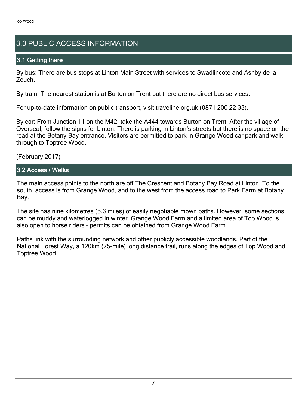## 3.0 PUBLIC ACCESS INFORMATION

#### 3.1 Getting there

By bus: There are bus stops at Linton Main Street with services to Swadlincote and Ashby de la Zouch.

By train: The nearest station is at Burton on Trent but there are no direct bus services.

For up-to-date information on public transport, visit traveline.org.uk (0871 200 22 33).

By car: From Junction 11 on the M42, take the A444 towards Burton on Trent. After the village of Overseal, follow the signs for Linton. There is parking in Linton's streets but there is no space on the road at the Botany Bay entrance. Visitors are permitted to park in Grange Wood car park and walk through to Toptree Wood.

(February 2017)

#### 3.2 Access / Walks

The main access points to the north are off The Crescent and Botany Bay Road at Linton. To the south, access is from Grange Wood, and to the west from the access road to Park Farm at Botany Bay.

The site has nine kilometres (5.6 miles) of easily negotiable mown paths. However, some sections can be muddy and waterlogged in winter. Grange Wood Farm and a limited area of Top Wood is also open to horse riders - permits can be obtained from Grange Wood Farm.

Paths link with the surrounding network and other publicly accessible woodlands. Part of the National Forest Way, a 120km (75-mile) long distance trail, runs along the edges of Top Wood and Toptree Wood.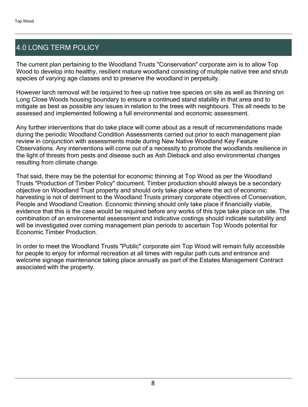## 4.0 LONG TERM POLICY

The current plan pertaining to the Woodland Trusts "Conservation" corporate aim is to allow Top Wood to develop into healthy, resilient mature woodland consisting of multiple native tree and shrub species of varying age classes and to preserve the woodland in perpetuity.

However larch removal will be required to free up native tree species on site as well as thinning on Long Close Woods housing boundary to ensure a continued stand stability in that area and to mitigate as best as possible any issues in relation to the trees with neighbours. This all needs to be assessed and implemented following a full environmental and economic assessment.

Any further interventions that do take place will come about as a result of recommendations made during the periodic Woodland Condition Assessments carried out prior to each management plan review in conjunction with assessments made during New Native Woodland Key Feature Observations. Any interventions will come out of a necessity to promote the woodlands resilience in the light of threats from pests and disease such as Ash Dieback and also environmental changes resulting from climate change.

That said, there may be the potential for economic thinning at Top Wood as per the Woodland Trusts "Production of Timber Policy" document. Timber production should always be a secondary objective on Woodland Trust property and should only take place where the act of economic harvesting is not of detriment to the Woodland Trusts primary corporate objectives of Conservation, People and Woodland Creation. Economic thinning should only take place if financially viable, evidence that this is the case would be required before any works of this type take place on site. The combination of an environmental assessment and indicative costings should indicate suitability and will be investigated over coming management plan periods to ascertain Top Woods potential for Economic Timber Production.

In order to meet the Woodland Trusts "Public" corporate aim Top Wood will remain fully accessible for people to enjoy for informal recreation at all times with regular path cuts and entrance and welcome signage maintenance taking place annually as part of the Estates Management Contract associated with the property.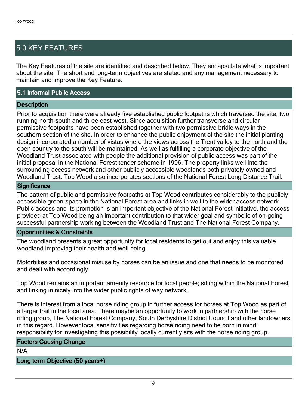## 5.0 KEY FEATURES

The Key Features of the site are identified and described below. They encapsulate what is important about the site. The short and long-term objectives are stated and any management necessary to maintain and improve the Key Feature.

#### 5.1 Informal Public Access

#### **Description**

Prior to acquisition there were already five established public footpaths which traversed the site, two running north-south and three east-west. Since acquisition further transverse and circular permissive footpaths have been established together with two permissive bridle ways in the southern section of the site. In order to enhance the public enjoyment of the site the initial planting design incorporated a number of vistas where the views across the Trent valley to the north and the open country to the south will be maintained. As well as fulfilling a corporate objective of the Woodland Trust associated with people the additional provision of public access was part of the initial proposal in the National Forest tender scheme in 1996. The property links well into the surrounding access network and other publicly accessible woodlands both privately owned and Woodland Trust. Top Wood also incorporates sections of the National Forest Long Distance Trail.

#### **Significance**

The pattern of public and permissive footpaths at Top Wood contributes considerably to the publicly accessible green-space in the National Forest area and links in well to the wider access network. Public access and its promotion is an important objective of the National Forest initiative, the access provided at Top Wood being an important contribution to that wider goal and symbolic of on-going successful partnership working between the Woodland Trust and The National Forest Company.

#### Opportunities & Constraints

The woodland presents a great opportunity for local residents to get out and enjoy this valuable woodland improving their health and well being.

Motorbikes and occasional misuse by horses can be an issue and one that needs to be monitored and dealt with accordingly.

Top Wood remains an important amenity resource for local people; sitting within the National Forest and linking in nicely into the wider public rights of way network.

There is interest from a local horse riding group in further access for horses at Top Wood as part of a larger trail in the local area. There maybe an opportunity to work in partnership with the horse riding group, The National Forest Company, South Derbyshire District Council and other landowners in this regard. However local sensitivities regarding horse riding need to be born in mind; responsibility for investigating this possibility locally currently sits with the horse riding group.

#### Factors Causing Change

N/A

Long term Objective (50 years+)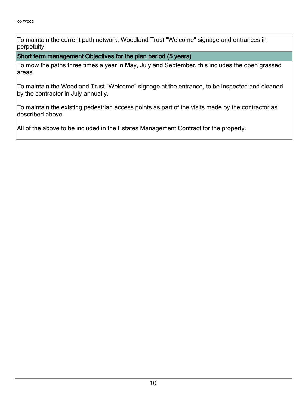To maintain the current path network, Woodland Trust "Welcome" signage and entrances in perpetuity.

Short term management Objectives for the plan period (5 years)

To mow the paths three times a year in May, July and September, this includes the open grassed areas.

To maintain the Woodland Trust "Welcome" signage at the entrance, to be inspected and cleaned by the contractor in July annually.

To maintain the existing pedestrian access points as part of the visits made by the contractor as described above.

All of the above to be included in the Estates Management Contract for the property.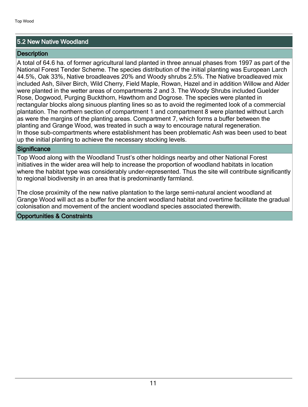#### 5.2 New Native Woodland

#### **Description**

A total of 64.6 ha. of former agricultural land planted in three annual phases from 1997 as part of the National Forest Tender Scheme. The species distribution of the initial planting was European Larch 44.5%, Oak 33%, Native broadleaves 20% and Woody shrubs 2.5%. The Native broadleaved mix included Ash, Silver Birch, Wild Cherry, Field Maple, Rowan, Hazel and in addition Willow and Alder were planted in the wetter areas of compartments 2 and 3. The Woody Shrubs included Guelder Rose, Dogwood, Purging Buckthorn, Hawthorn and Dogrose. The species were planted in rectangular blocks along sinuous planting lines so as to avoid the regimented look of a commercial plantation. The northern section of compartment 1 and compartment 8 were planted without Larch as were the margins of the planting areas. Compartment 7, which forms a buffer between the planting and Grange Wood, was treated in such a way to encourage natural regeneration. In those sub-compartments where establishment has been problematic Ash was been used to beat up the initial planting to achieve the necessary stocking levels.

#### **Significance**

Top Wood along with the Woodland Trust's other holdings nearby and other National Forest initiatives in the wider area will help to increase the proportion of woodland habitats in location where the habitat type was considerably under-represented. Thus the site will contribute significantly to regional biodiversity in an area that is predominantly farmland.

The close proximity of the new native plantation to the large semi-natural ancient woodland at Grange Wood will act as a buffer for the ancient woodland habitat and overtime facilitate the gradual colonisation and movement of the ancient woodland species associated therewith.

#### Opportunities & Constraints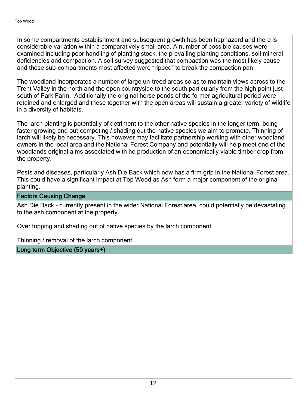In some compartments establishment and subsequent growth has been haphazard and there is considerable variation within a comparatively small area. A number of possible causes were examined including poor handling of planting stock, the prevailing planting conditions, soil mineral deficiencies and compaction. A soil survey suggested that compaction was the most likely cause and those sub-compartments most affected were "ripped" to break the compaction pan.

The woodland incorporates a number of large un-treed areas so as to maintain views across to the Trent Valley in the north and the open countryside to the south particularly from the high point just south of Park Farm. Additionally the original horse ponds of the former agricultural period were retained and enlarged and these together with the open areas will sustain a greater variety of wildlife in a diversity of habitats.

The larch planting is potentially of detriment to the other native species in the longer term, being faster growing and out-competing / shading out the native species we aim to promote. Thinning of larch will likely be necessary. This however may facilitate partnership working with other woodland owners in the local area and the National Forest Company and potentially will help meet one of the woodlands original aims associated with he production of an economically viable timber crop from the property.

Pests and diseases, particularly Ash Die Back which now has a firm grip in the National Forest area. This could have a significant impact at Top Wood as Ash form a major component of the original planting.

#### Factors Causing Change

Ash Die Back - currently present in the wider National Forest area, could potentially be devastating to the ash component at the property.

Over topping and shading out of native species by the larch component.

Thinning / removal of the larch component.

Long term Objective (50 years+)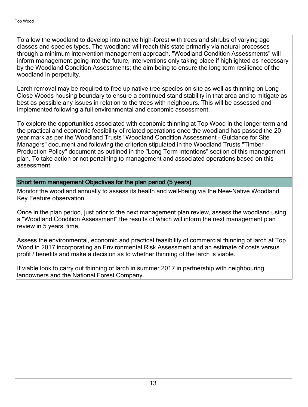To allow the woodland to develop into native high-forest with trees and shrubs of varying age classes and species types. The woodland will reach this state primarily via natural processes through a minimum intervention management approach. "Woodland Condition Assessments" will inform management going into the future, interventions only taking place if highlighted as necessary by the Woodland Condition Assessments; the aim being to ensure the long term resilience of the woodland in perpetuity.

Larch removal may be required to free up native tree species on site as well as thinning on Long Close Woods housing boundary to ensure a continued stand stability in that area and to mitigate as best as possible any issues in relation to the trees with neighbours. This will be assessed and implemented following a full environmental and economic assessment.

To explore the opportunities associated with economic thinning at Top Wood in the longer term and the practical and economic feasibility of related operations once the woodland has passed the 20 year mark as per the Woodland Trusts "Woodland Condition Assessment - Guidance for Site Managers" document and following the criterion stipulated in the Woodland Trusts "Timber Production Policy" document as outlined in the "Long Term Intentions" section of this management plan. To take action or not pertaining to management and associated operations based on this assessment.

#### Short term management Objectives for the plan period (5 years)

Monitor the woodland annually to assess its health and well-being via the New-Native Woodland Key Feature observation.

Once in the plan period, just prior to the next management plan review, assess the woodland using a "Woodland Condition Assessment" the results of which will inform the next management plan review in 5 years' time.

Assess the environmental, economic and practical feasibility of commercial thinning of larch at Top Wood in 2017 incorporating an Environmental Risk Assessment and an estimate of costs versus profit / benefits and make a decision as to whether thinning of the larch is viable.

If viable look to carry out thinning of larch in summer 2017 in partnership with neighbouring landowners and the National Forest Company.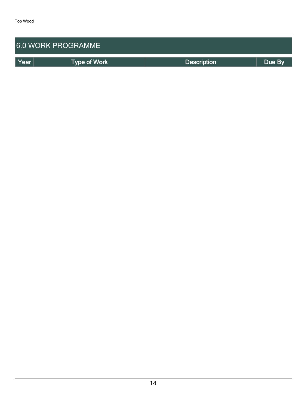| <b>6.0 WORK PROGRAMME</b> |                     |                    |        |  |  |  |
|---------------------------|---------------------|--------------------|--------|--|--|--|
| Year                      | <b>Type of Work</b> | <b>Description</b> | Due By |  |  |  |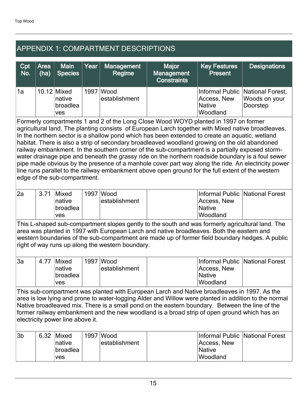## APPENDIX 1: COMPARTMENT DESCRIPTIONS

| Cpt<br>No. | <b>Area</b><br>(ha) | <b>Main</b><br><b>Species</b>                     | Year | <b>Management</b><br>Regime  | <b>Major</b><br>Management<br><b>Constraints</b> | Key Features<br><b>Present</b>    | <b>Designations</b>                                           |
|------------|---------------------|---------------------------------------------------|------|------------------------------|--------------------------------------------------|-----------------------------------|---------------------------------------------------------------|
| '1a        |                     | $10.12$ Mixed<br>native<br>broadlea<br><b>ves</b> |      | 1997   Wood<br>establishment |                                                  | Access, New<br>Native<br>Woodland | Informal Public National Forest,<br>Woods on your<br>Doorstep |

Formerly compartments 1 and 2 of the Long Close Wood WOYD planted in 1997 on former agricultural land. The planting consists of European Larch together with Mixed native broadleaves. In the northern sector is a shallow pond which has been extended to create an aquatic, wetland habitat. There is also a strip of secondary broadleaved woodland growing on the old abandoned railway embankment. In the southern corner of the sub-compartment is a partially exposed stormwater drainage pipe and beneath the grassy ride on the northern roadside boundary is a foul sewer pipe made obvious by the presence of a manhole cover part way along the ride. An electricity power line runs parallel to the railway embankment above open ground for the full extent of the western edge of the sub-compartment.

| 2al | 3.71 | Mixed           | . 1997 | <b>Wood</b>   | Informal Public   National Forest |  |
|-----|------|-----------------|--------|---------------|-----------------------------------|--|
|     |      | !native         |        | establishment | Access, New                       |  |
|     |      | <b>broadlea</b> |        |               | Native                            |  |
|     |      | ves             |        |               | Woodland                          |  |

This L-shaped sub-compartment slopes gently to the south and was formerly agricultural land. The area was planted in 1997 with European Larch and native broadleaves. Both the eastern and western boundaries of the sub-compartment are made up of former field boundary hedges. A public right of way runs up along the western boundary.

| 3a | 4.77 | Mixed          | 1997 | <b>Wood</b>    |             | Informal Public National Forest |
|----|------|----------------|------|----------------|-------------|---------------------------------|
|    |      | <b>Inative</b> |      | lestablishment | Access, New |                                 |
|    |      | broadlea       |      |                | Native      |                                 |
|    |      | ves            |      |                | Woodland    |                                 |

This sub-compartment was planted with European Larch and Native broadleaves in 1997. As the area is low lying and prone to water-logging Alder and Willow were planted in addition to the normal Native broadleaved mix. There is a small pond on the eastern boundary. Between the line of the former railway embankment and the new woodland is a broad strip of open ground which has an electricity power line above it.

| l3b | 6.32 | <b>Mixed</b> | 1997 Wood      |               | Informal Public National Forest |
|-----|------|--------------|----------------|---------------|---------------------------------|
|     |      | ∣native      | lestablishment | Access, New   |                                 |
|     |      | broadlea     |                | <i>Native</i> |                                 |
|     |      | ves          |                | Woodland      |                                 |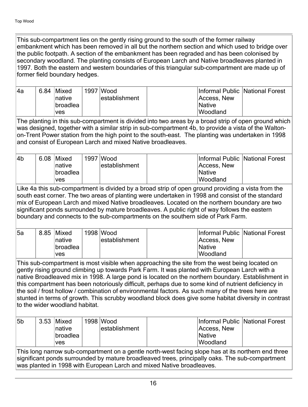This sub-compartment lies on the gently rising ground to the south of the former railway embankment which has been removed in all but the northern section and which used to bridge over the public footpath. A section of the embankment has been regraded and has been colonised by secondary woodland. The planting consists of European Larch and Native broadleaves planted in 1997. Both the eastern and western boundaries of this triangular sub-compartment are made up of former field boundary hedges.

| 4a | $6.84$ Mixed    | ำ997  Wood     |                 | Informal Public National Forest |
|----|-----------------|----------------|-----------------|---------------------------------|
|    | ∣native         | lestablishment | Access, New     |                                 |
|    | <b>broadlea</b> |                | <i>Native</i>   |                                 |
|    | ∣ves            |                | <b>Woodland</b> |                                 |

The planting in this sub-compartment is divided into two areas by a broad strip of open ground which was designed, together with a similar strip in sub-compartment 4b, to provide a vista of the Waltonon-Trent Power station from the high point to the south-east. The planting was undertaken in 1998 and consist of European Larch and mixed Native broadleaves.

| l4b | 6.08 Mixed     | 1997 Wood      |               | Informal Public National Forest |
|-----|----------------|----------------|---------------|---------------------------------|
|     | <b>Inative</b> | lestablishment | Access, New   |                                 |
|     | broadlea       |                | <i>Native</i> |                                 |
|     | ∣ves           |                | Woodland      |                                 |

Like 4a this sub-compartment is divided by a broad strip of open ground providing a vista from the south east corner. The two areas of planting were undertaken in 1998 and consist of the standard mix of European Larch and mixed Native broadleaves. Located on the northern boundary are two significant ponds surrounded by mature broadleaves. A public right of way follows the eastern boundary and connects to the sub-compartments on the southern side of Park Farm.

| <b>5a</b> | 8.85 | <b>Mixed</b>    | 1998 Wood     |               | Informal Public National Forest |
|-----------|------|-----------------|---------------|---------------|---------------------------------|
|           |      | ∣native         | establishment | Access, New   |                                 |
|           |      | <b>broadlea</b> |               | <b>Native</b> |                                 |
|           |      | ves             |               | Woodland      |                                 |

This sub-compartment is most visible when approaching the site from the west being located on gently rising ground climbing up towards Park Farm. It was planted with European Larch with a native Broadleaved mix in 1998. A large pond is located on the northern boundary. Establishment in this compartment has been notoriously difficult, perhaps due to some kind of nutrient deficiency in the soil / frost hollow / combination of environmental factors. As such many of the trees here are stunted in terms of growth. This scrubby woodland block does give some habitat diversity in contrast to the wider woodland habitat.

| 5b                                                                                                 |  | 3.53 Mixed<br>Inative<br><b>broadlea</b><br><b>ves</b> |  | 1998 Wood<br>establishment | Access, New<br><b>Native</b><br>Woodland |  | Informal Public National Forest |
|----------------------------------------------------------------------------------------------------|--|--------------------------------------------------------|--|----------------------------|------------------------------------------|--|---------------------------------|
| This long narrow sub-compartment on a gentle north-west facing slope has at its northern end three |  |                                                        |  |                            |                                          |  |                                 |

significant ponds surrounded by mature broadleaved trees, principally oaks. The sub-compartment was planted in 1998 with European Larch and mixed Native broadleaves.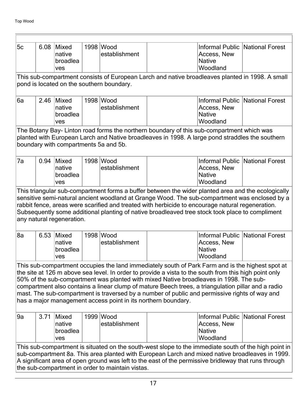| 5c | 6.08                                                                                                                                                                                                                                                                                                                                                                                                                                                                                                                                                                        | Mixed<br>native<br>broadlea<br>ves        |  | 1998 Wood<br>establishment |                                                                                                                                                                                                                                                                                                                                                                                                            | Access, New<br><b>Native</b><br>Woodland                    | Informal Public National Forest |  |  |  |  |
|----|-----------------------------------------------------------------------------------------------------------------------------------------------------------------------------------------------------------------------------------------------------------------------------------------------------------------------------------------------------------------------------------------------------------------------------------------------------------------------------------------------------------------------------------------------------------------------------|-------------------------------------------|--|----------------------------|------------------------------------------------------------------------------------------------------------------------------------------------------------------------------------------------------------------------------------------------------------------------------------------------------------------------------------------------------------------------------------------------------------|-------------------------------------------------------------|---------------------------------|--|--|--|--|
|    |                                                                                                                                                                                                                                                                                                                                                                                                                                                                                                                                                                             |                                           |  |                            | This sub-compartment consists of European Larch and native broadleaves planted in 1998. A small                                                                                                                                                                                                                                                                                                            |                                                             |                                 |  |  |  |  |
|    | pond is located on the southern boundary.                                                                                                                                                                                                                                                                                                                                                                                                                                                                                                                                   |                                           |  |                            |                                                                                                                                                                                                                                                                                                                                                                                                            |                                                             |                                 |  |  |  |  |
| 6a | 2.46                                                                                                                                                                                                                                                                                                                                                                                                                                                                                                                                                                        | Mixed<br>native<br>broadlea<br>ves        |  | 1998 Wood<br>establishment |                                                                                                                                                                                                                                                                                                                                                                                                            | Access, New<br><b>Native</b><br>Woodland                    | Informal Public National Forest |  |  |  |  |
|    |                                                                                                                                                                                                                                                                                                                                                                                                                                                                                                                                                                             | boundary with compartments 5a and 5b.     |  |                            | The Botany Bay- Linton road forms the northern boundary of this sub-compartment which was<br>planted with European Larch and Native broadleaves in 1998. A large pond straddles the southern                                                                                                                                                                                                               |                                                             |                                 |  |  |  |  |
| 7a | 0.94                                                                                                                                                                                                                                                                                                                                                                                                                                                                                                                                                                        | Mixed<br>native<br>broadlea<br>ves        |  | 1998 Wood<br>establishment |                                                                                                                                                                                                                                                                                                                                                                                                            | Informal Public<br>Access, New<br><b>Native</b><br>Woodland | National Forest                 |  |  |  |  |
|    |                                                                                                                                                                                                                                                                                                                                                                                                                                                                                                                                                                             | any natural regeneration.                 |  |                            | This triangular sub-compartment forms a buffer between the wider planted area and the ecologically<br>sensitive semi-natural ancient woodland at Grange Wood. The sub-compartment was enclosed by a<br>rabbit fence, areas were scarified and treated with herbicide to encourage natural regeneration.<br>Subsequently some additional planting of native broadleaved tree stock took place to compliment |                                                             |                                 |  |  |  |  |
| 8a | 6.53                                                                                                                                                                                                                                                                                                                                                                                                                                                                                                                                                                        | Mixed<br>native<br>broadlea<br>ves        |  | 1998 Wood<br>establishment |                                                                                                                                                                                                                                                                                                                                                                                                            | Informal Public<br>Access, New<br><b>Native</b><br>Woodland | National Forest                 |  |  |  |  |
|    | This sub-compartment occupies the land immediately south of Park Farm and is the highest spot at<br>the site at 126 m above sea level. In order to provide a vista to the south from this high point only<br>50% of the sub-compartment was planted with mixed Native broadleaves in 1998. The sub-<br>compartment also contains a linear clump of mature Beech trees, a triangulation pillar and a radio<br>mast. The sub-compartment is traversed by a number of public and permissive rights of way and<br>has a major management access point in its northern boundary. |                                           |  |                            |                                                                                                                                                                                                                                                                                                                                                                                                            |                                                             |                                 |  |  |  |  |
| 9a | 3.71                                                                                                                                                                                                                                                                                                                                                                                                                                                                                                                                                                        | <b>Mixed</b><br>native<br>broadlea<br>ves |  | 1999 Wood<br>establishment |                                                                                                                                                                                                                                                                                                                                                                                                            | Informal Public<br>Access, New<br><b>Native</b><br>Woodland | National Forest                 |  |  |  |  |
|    | This sub-compartment is situated on the south-west slope to the immediate south of the high point in<br>sub-compartment 8a. This area planted with European Larch and mixed native broadleaves in 1999.<br>A significant area of open ground was left to the east of the permissive bridleway that runs through<br>the sub-compartment in order to maintain vistas.                                                                                                                                                                                                         |                                           |  |                            |                                                                                                                                                                                                                                                                                                                                                                                                            |                                                             |                                 |  |  |  |  |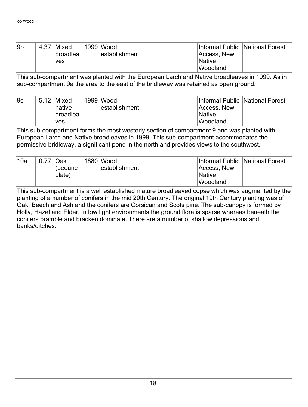F

| 9b  | 4.37                                                                                                                                                                                                                                                                                                                                                                                                                                                                                                                | <b>Mixed</b><br>broadlea<br>ves    |  | 1999 Wood<br>establishment | Access, New<br><b>Native</b><br>Woodland                                                                                                                                                                                                                                         | Informal Public National Forest |  |  |  |  |
|-----|---------------------------------------------------------------------------------------------------------------------------------------------------------------------------------------------------------------------------------------------------------------------------------------------------------------------------------------------------------------------------------------------------------------------------------------------------------------------------------------------------------------------|------------------------------------|--|----------------------------|----------------------------------------------------------------------------------------------------------------------------------------------------------------------------------------------------------------------------------------------------------------------------------|---------------------------------|--|--|--|--|
|     | This sub-compartment was planted with the European Larch and Native broadleaves in 1999. As in<br>sub-compartment 9a the area to the east of the bridleway was retained as open ground.                                                                                                                                                                                                                                                                                                                             |                                    |  |                            |                                                                                                                                                                                                                                                                                  |                                 |  |  |  |  |
| 9c  | 5.12                                                                                                                                                                                                                                                                                                                                                                                                                                                                                                                | Mixed<br>native<br>broadlea<br>ves |  | 1999 Wood<br>establishment | Access, New<br><b>Native</b><br>Woodland                                                                                                                                                                                                                                         | Informal Public National Forest |  |  |  |  |
|     |                                                                                                                                                                                                                                                                                                                                                                                                                                                                                                                     |                                    |  |                            | This sub-compartment forms the most westerly section of compartment 9 and was planted with<br>European Larch and Native broadleaves in 1999. This sub-compartment accommodates the<br>permissive bridleway, a significant pond in the north and provides views to the southwest. |                                 |  |  |  |  |
| 10a | 0.77                                                                                                                                                                                                                                                                                                                                                                                                                                                                                                                | Oak<br>(pedunc<br>ulate)           |  | 1880 Wood<br>establishment | Access, New<br><b>Native</b><br>Woodland                                                                                                                                                                                                                                         | Informal Public National Forest |  |  |  |  |
|     | This sub-compartment is a well established mature broadleaved copse which was augmented by the<br>planting of a number of conifers in the mid 20th Century. The original 19th Century planting was of<br>Oak, Beech and Ash and the conifers are Corsican and Scots pine. The sub-canopy is formed by<br>Holly, Hazel and Elder. In low light environments the ground flora is sparse whereas beneath the<br>conifers bramble and bracken dominate. There are a number of shallow depressions and<br>banks/ditches. |                                    |  |                            |                                                                                                                                                                                                                                                                                  |                                 |  |  |  |  |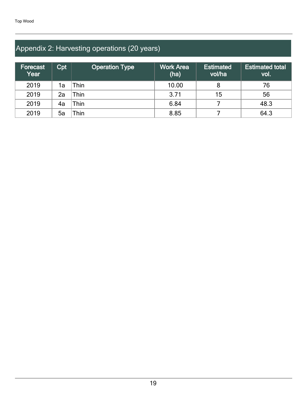## Appendix 2: Harvesting operations (20 years)

| <b>Forecast</b><br>∣Year <sup>∖</sup> | Cpt | <b>Operation Type</b> | <b>Work Area</b><br>(ha) | <b>Estimated</b><br>vol/ha | <b>Estimated total</b><br>vol. |
|---------------------------------------|-----|-----------------------|--------------------------|----------------------------|--------------------------------|
| 2019                                  | 1a  | hin.                  | 10.00                    |                            | 76                             |
| 2019                                  | 2a  | ™hin                  | 3.71                     | 15                         | 56                             |
| 2019                                  | 4а  | ™hin                  | 6.84                     |                            | 48.3                           |
| 2019                                  | 5a  | `hin                  | 8.85                     |                            | 64.3                           |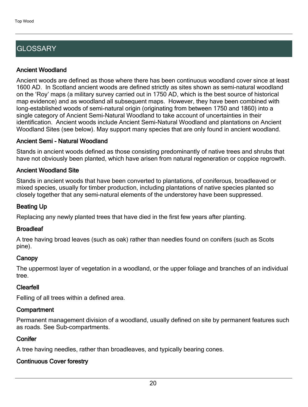## **GLOSSARY**

#### Ancient Woodland

Ancient woods are defined as those where there has been continuous woodland cover since at least 1600 AD. In Scotland ancient woods are defined strictly as sites shown as semi-natural woodland on the 'Roy' maps (a military survey carried out in 1750 AD, which is the best source of historical map evidence) and as woodland all subsequent maps. However, they have been combined with long-established woods of semi-natural origin (originating from between 1750 and 1860) into a single category of Ancient Semi-Natural Woodland to take account of uncertainties in their identification. Ancient woods include Ancient Semi-Natural Woodland and plantations on Ancient Woodland Sites (see below). May support many species that are only found in ancient woodland.

#### Ancient Semi - Natural Woodland

Stands in ancient woods defined as those consisting predominantly of native trees and shrubs that have not obviously been planted, which have arisen from natural regeneration or coppice regrowth.

#### Ancient Woodland Site

Stands in ancient woods that have been converted to plantations, of coniferous, broadleaved or mixed species, usually for timber production, including plantations of native species planted so closely together that any semi-natural elements of the understorey have been suppressed.

#### Beating Up

Replacing any newly planted trees that have died in the first few years after planting.

#### **Broadleaf**

A tree having broad leaves (such as oak) rather than needles found on conifers (such as Scots pine).

#### **Canopy**

The uppermost layer of vegetation in a woodland, or the upper foliage and branches of an individual tree.

#### Clearfell

Felling of all trees within a defined area.

#### **Compartment**

Permanent management division of a woodland, usually defined on site by permanent features such as roads. See Sub-compartments.

#### **Conifer**

A tree having needles, rather than broadleaves, and typically bearing cones.

### Continuous Cover forestry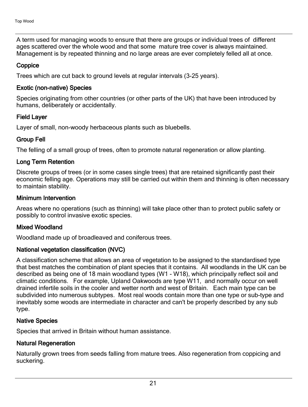A term used for managing woods to ensure that there are groups or individual trees of different ages scattered over the whole wood and that some mature tree cover is always maintained. Management is by repeated thinning and no large areas are ever completely felled all at once.

#### **Coppice**

Trees which are cut back to ground levels at regular intervals (3-25 years).

#### Exotic (non-native) Species

Species originating from other countries (or other parts of the UK) that have been introduced by humans, deliberately or accidentally.

#### Field Layer

Layer of small, non-woody herbaceous plants such as bluebells.

#### Group Fell

The felling of a small group of trees, often to promote natural regeneration or allow planting.

#### Long Term Retention

Discrete groups of trees (or in some cases single trees) that are retained significantly past their economic felling age. Operations may still be carried out within them and thinning is often necessary to maintain stability.

#### Minimum Intervention

Areas where no operations (such as thinning) will take place other than to protect public safety or possibly to control invasive exotic species.

#### Mixed Woodland

Woodland made up of broadleaved and coniferous trees.

#### National vegetation classification (NVC)

A classification scheme that allows an area of vegetation to be assigned to the standardised type that best matches the combination of plant species that it contains. All woodlands in the UK can be described as being one of 18 main woodland types (W1 - W18), which principally reflect soil and climatic conditions. For example, Upland Oakwoods are type W11, and normally occur on well drained infertile soils in the cooler and wetter north and west of Britain. Each main type can be subdivided into numerous subtypes. Most real woods contain more than one type or sub-type and inevitably some woods are intermediate in character and can't be properly described by any sub type.

#### Native Species

Species that arrived in Britain without human assistance.

#### Natural Regeneration

Naturally grown trees from seeds falling from mature trees. Also regeneration from coppicing and suckering.